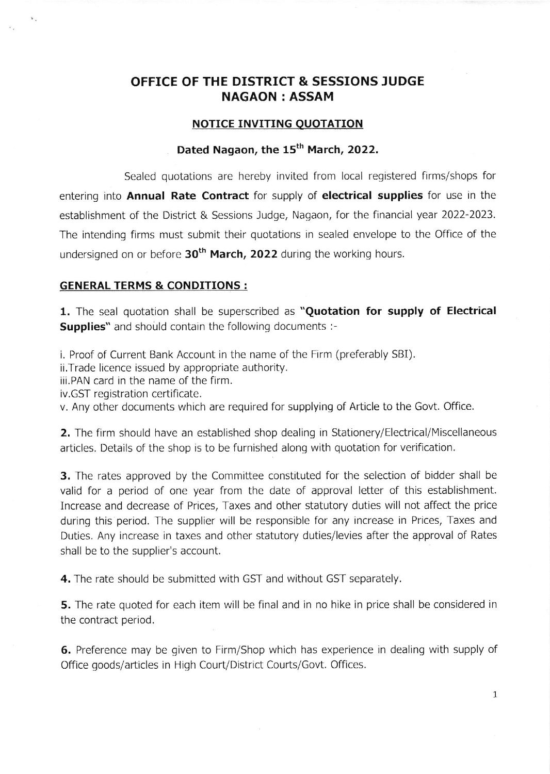## OFFICE OF THE DISTRICT & SESSIONS JUDGE NAGAON : ASSAM

#### **NOTICE INVITING QUOTATION**

## Dated Nagaon, the 15<sup>th</sup> March, 2022.

Sealed quotations are hereby invited from local registered firms/shops for entering into **Annual Rate Contract** for supply of **electrical supplies** for use in the establishment of the District & Sessions Judge, Nagaon, for the financial year 2022-2023. The intending firms must submit their quotations in sealed envelope to the Office of the undersigned on or before  $30<sup>th</sup>$  March, 2022 during the working hours.

#### GENERAL TERMS & CONDITIONS :

1. The seal quotation shall be superscribed as "Quotation for supply of Electrical Supplies" and should contain the following documents :-

i. Proof of Current Bank Account in the name of the Firm (preferably SBI).

ii.Trade licence issued by appropriate authority.

iii.PAN card in the name of the firm.

iv.GST registration certificate.

 $\mathbf{v}$  .

v. Any other documents which are required for supplying of Article to the Govt. Office

2. The firm should have an established shop dealing in Stationery/Electrical/Miscellaneous articles. Details of the shop is to be furnished along with quotation for verification.

3. The rates approved by the Committee constituted for the selection of bidder shall be valid for a period of one year from the date of approval letter of this establishment. Increase and decrease of Prices, Taxes and other statutory duties will not affect the price durinq this period. The supplier will be responsible for any increase in Prices, Taxes and Duties. Any increase in taxes and other statutory duties/levies after the approval of Rates shall be to the supplier's account.

4. The rate should be submitted with GST and without GST separately.

**5.** The rate quoted for each item will be final and in no hike in price shall be considered in the contract period.

6. Preference may be given to Firm/Shop which has experience in dealing with supply of Office goods/articles in High Court/Dlstrict Courts/Govt. Offices.

I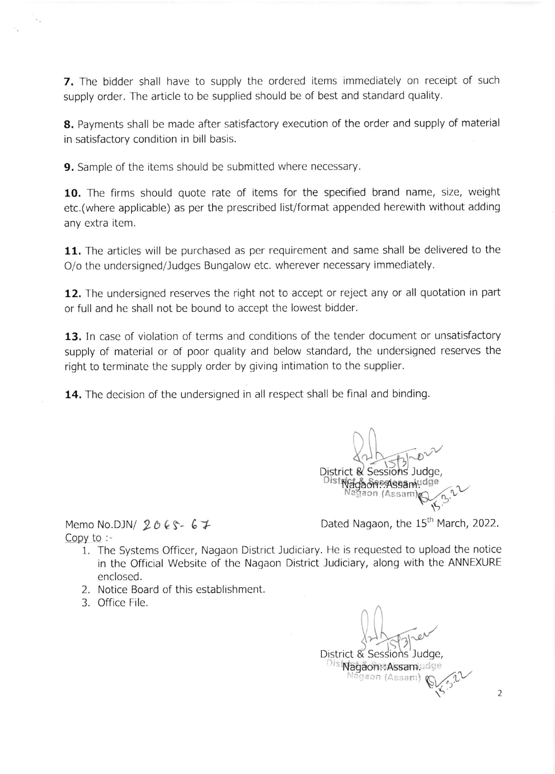7. The bidder shall have to supply the ordered items immediately on receipt of such supply order. The article to be supplied should be of best and standard quality.

8. Payments shall be made after satisfactory execution of the order and supply of material in satisfactory condition in bill basis.

**9.** Sample of the items should be submitted where necessary.

10. The firms should quote rate of items for the specified brand name, size, weight etc.(where applicable) as per the prescribed list/format appended herewith without adding any extra item.

11. The articles will be purchased as per requirement and same shall be delivered to the O/o the undersigned/Judges Bungalow etc. wherever necessary immediately.

12. The undersigned reserves the right not to accept or reject any or all quotation in part or full and he shall not be bound to accept the lowest bidder.

13. In case of violation of terms and conditions of the tender document or unsatisfactory supply of material or of poor quality and below standard, the undersigned reserves the right to terminate the supply order by giving intimation to the supplier.

14. The decision of the undersigned in all respect shall be final and binding.

Processor and the second District & Sessions J<br>District & Sessions - Vagaon: Hissaming & C. V

Copy to :-

Memo No.DJN/  $2065 - 67$  Dated Nagaon, the 15<sup>th</sup> March, 2022.

- 1. The Systems Officer, Nagaon District Judiciary. He is requested to upload the notice in the Official Website of the Nagaon District Judiciary, along with the ANNEXURE enclosed.
- 2. Notice Board of this establishment
- 3. Office File.

District & Sessions Judge,  $\mathcal{I}$ S Disi**NagaonsAssam**udge<br>Nagaon (Assam)  $\mathbb{Q}_{\mathcal{L}}$   $\mathbb{Q}$   $\mathbb{Q}$